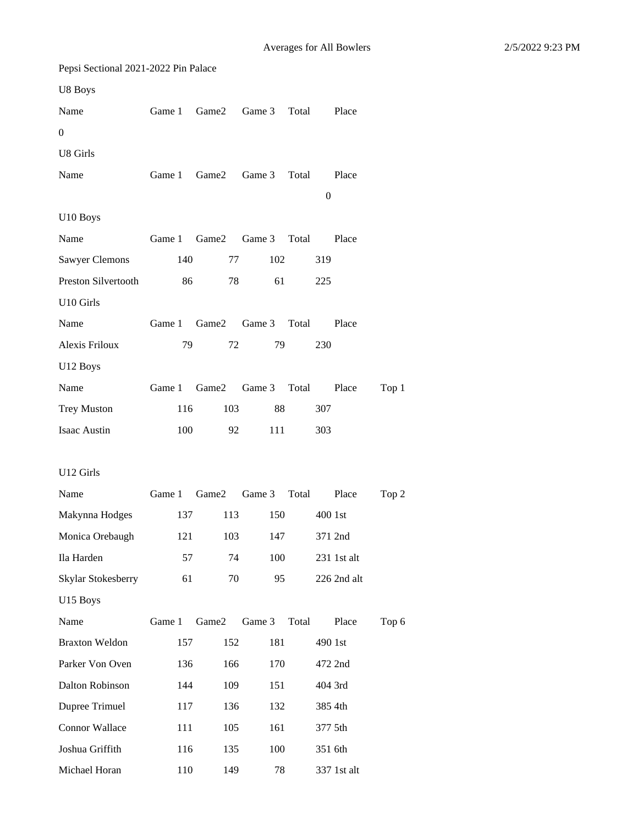| Pepsi Sectional 2021-2022 Pin Palace |        |               |              |       |                  |             |       |
|--------------------------------------|--------|---------------|--------------|-------|------------------|-------------|-------|
| U8 Boys                              |        |               |              |       |                  |             |       |
| Name                                 | Game 1 | Game2         | Game 3       | Total |                  | Place       |       |
| $\boldsymbol{0}$                     |        |               |              |       |                  |             |       |
| U8 Girls                             |        |               |              |       |                  |             |       |
| Name                                 | Game 1 | Game2         | Game 3       | Total |                  | Place       |       |
|                                      |        |               |              |       | $\boldsymbol{0}$ |             |       |
| U10 Boys                             |        |               |              |       |                  |             |       |
| Name                                 | Game 1 | Game2         | Game 3 Total |       |                  | Place       |       |
| <b>Sawyer Clemons</b>                | 140    | 77            | 102          |       | 319              |             |       |
| Preston Silvertooth                  | 86     | 78            | 61           |       | 225              |             |       |
| U10 Girls                            |        |               |              |       |                  |             |       |
| Name                                 |        | Game 1 Game 2 | Game 3       | Total |                  | Place       |       |
| Alexis Friloux                       | 79     | 72            | 79           |       | 230              |             |       |
| U12 Boys                             |        |               |              |       |                  |             |       |
| Name                                 | Game 1 | Game2         | Game 3       | Total |                  | Place       | Top 1 |
| <b>Trey Muston</b>                   | 116    | 103           | 88           |       | 307              |             |       |
| Isaac Austin                         | 100    | 92            | 111          |       | 303              |             |       |
|                                      |        |               |              |       |                  |             |       |
| U12 Girls                            |        |               |              |       |                  |             |       |
| Name                                 |        | Game 1 Game 2 | Game 3 Total |       |                  | Place       | Top 2 |
| Makynna Hodges                       |        | 137           | 113<br>150   |       | 400 1st          |             |       |
| Monica Orebaugh                      | 121    | 103           | 147          |       |                  | 371 2nd     |       |
| Ila Harden                           | 57     | 74            | 100          |       |                  | 231 1st alt |       |
| Skylar Stokesberry                   | 61     | 70            | 95           |       |                  | 226 2nd alt |       |
| U15 Boys                             |        |               |              |       |                  |             |       |
| Name                                 | Game 1 | Game2         | Game 3       | Total |                  | Place       | Top 6 |
| <b>Braxton Weldon</b>                | 157    | 152           | 181          |       | 490 1st          |             |       |
| Parker Von Oven                      | 136    | 166           | 170          |       |                  | 472 2nd     |       |
| Dalton Robinson                      | 144    | 109           | 151          |       | 404 3rd          |             |       |
| Dupree Trimuel                       | 117    | 136           | 132          |       | 385 4th          |             |       |
| <b>Connor Wallace</b>                | 111    | 105           | 161          |       | 377 5th          |             |       |
| Joshua Griffith                      | 116    | 135           | 100          |       | 351 6th          |             |       |
| Michael Horan                        | 110    | 149           | 78           |       |                  | 337 1st alt |       |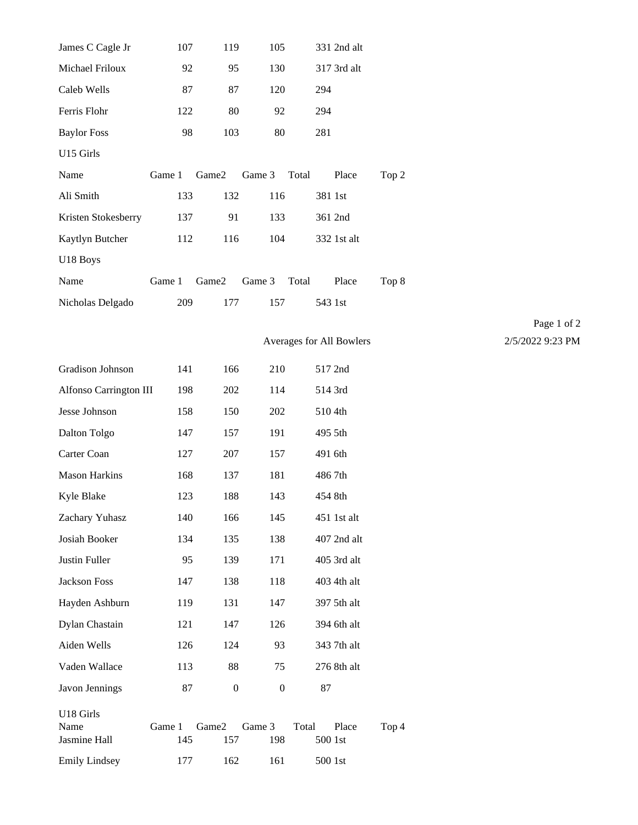| James C Cagle Jr                  | 107           | 119              | 105              |                          | 331 2nd alt |       |  |
|-----------------------------------|---------------|------------------|------------------|--------------------------|-------------|-------|--|
| Michael Friloux                   | 92            | 95               | 130              |                          | 317 3rd alt |       |  |
| Caleb Wells                       | 87            | 87               | 120              | 294                      |             |       |  |
| Ferris Flohr                      | 122           | 80               | 92               | 294                      |             |       |  |
| <b>Baylor Foss</b>                | 98            | 103              | $80\,$           | 281                      |             |       |  |
| U15 Girls                         |               |                  |                  |                          |             |       |  |
| Name                              | Game 1        | Game2            | Game 3           | Total                    | Place       | Top 2 |  |
| Ali Smith                         | 133           | 132              | 116              | 381 1st                  |             |       |  |
| Kristen Stokesberry               | 137           | 91               | 133              |                          | 361 2nd     |       |  |
| Kaytlyn Butcher                   | 112           | 116              | 104              |                          | 332 1st alt |       |  |
| U18 Boys                          |               |                  |                  |                          |             |       |  |
| Name                              | Game 1        | Game2            | Game 3           | Total                    | Place       | Top 8 |  |
| Nicholas Delgado                  | 209           | 177              | 157              | 543 1st                  |             |       |  |
|                                   |               |                  |                  |                          |             |       |  |
|                                   |               |                  |                  | Averages for All Bowlers |             |       |  |
| Gradison Johnson                  | 141           | 166              | 210              |                          | 517 2nd     |       |  |
| Alfonso Carrington III            | 198           | 202              | 114              |                          | 514 3rd     |       |  |
| Jesse Johnson                     | 158           | 150              | 202              | 510 4th                  |             |       |  |
| Dalton Tolgo                      | 147           | 157              | 191              | 495 5th                  |             |       |  |
| Carter Coan                       | 127           | $207\,$          | 157              | 491 6th                  |             |       |  |
| <b>Mason Harkins</b>              | 168           | 137              | 181              | 4867th                   |             |       |  |
| Kyle Blake                        | 123           | 188              | 143              | 454 8th                  |             |       |  |
| Zachary Yuhasz                    | 140           | 166              | 145              |                          | 451 1st alt |       |  |
| Josiah Booker                     | 134           | 135              | 138              |                          | 407 2nd alt |       |  |
| Justin Fuller                     | 95            | 139              | 171              |                          | 405 3rd alt |       |  |
| Jackson Foss                      | 147           | 138              | 118              |                          | 403 4th alt |       |  |
| Hayden Ashburn                    | 119           | 131              | 147              |                          | 397 5th alt |       |  |
| Dylan Chastain                    | 121           | 147              | 126              |                          | 394 6th alt |       |  |
| Aiden Wells                       | 126           | 124              | 93               |                          | 343 7th alt |       |  |
| Vaden Wallace                     | 113           | 88               | 75               |                          | 276 8th alt |       |  |
| Javon Jennings                    | 87            | $\boldsymbol{0}$ | $\boldsymbol{0}$ | 87                       |             |       |  |
| U18 Girls<br>Name<br>Jasmine Hall | Game 1<br>145 | Game2<br>157     | Game 3<br>198    | Total<br>500 1st         | Place       | Top 4 |  |
| <b>Emily Lindsey</b>              | 177           | 162              | 161              | $500\;1\rm st$           |             |       |  |